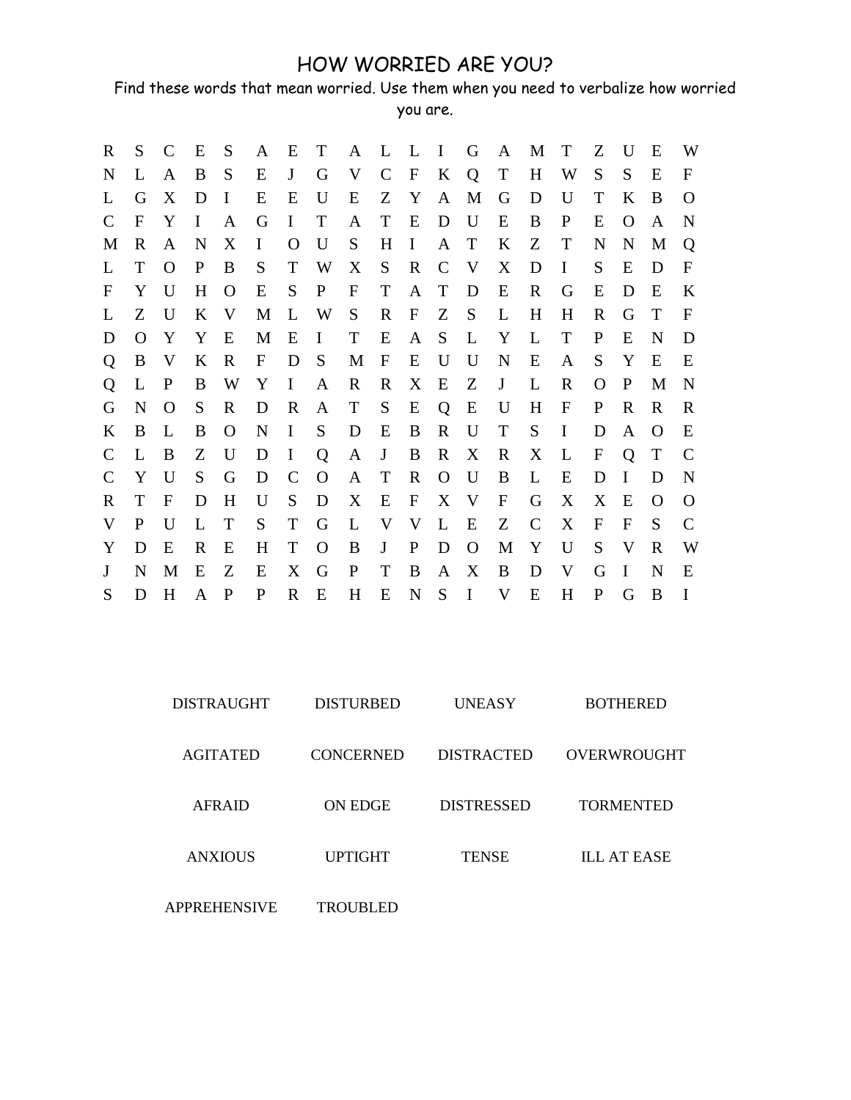## HOW WORRIED ARE YOU?

Find these words that mean worried. Use them when you need to verbalize how worried you are.

| R             | S            | C           | E           | S            | A                | Ε            | T            | A            | L L                       |                           | $\mathbf{I}$ | $\mathbf G$ | A           | M           | $\mathbf T$ | Z            | $\mathbf{U}$ | E        | W            |
|---------------|--------------|-------------|-------------|--------------|------------------|--------------|--------------|--------------|---------------------------|---------------------------|--------------|-------------|-------------|-------------|-------------|--------------|--------------|----------|--------------|
| N             | L            | A           | B           | S            | E                | $\mathbf{J}$ | G            | V            | $\mathcal{C}$             | $\mathbf F$               | $\bf K$      | Q           | T           | H           | W           | S            | S            | E        | F            |
| L             | G            | X           | D           | $\bf{I}$     | E                | E            | U            | E            | Z                         | Y                         | A            | M           | G           | D           | U           | T            | K            | B        | O            |
| $\mathcal{C}$ | $\mathbf F$  | Y           | $\bf{I}$    | A            | G                | $\bf{I}$     | T            | A            | T                         | E                         | D            | U           | E           | B           | P           | Ε            | O            | A        | N            |
| M             | R            | A           | N           | X            | I                | O            | U            | S            | H                         | $\bf{I}$                  | A            | T           | K           | Z           | T           | N            | N            | M        | Q            |
| L             | T            | $\Omega$    | $\mathbf P$ | B            | S                | T            | W            | X            | S                         | $\mathbf R$               | $\mathbf C$  | V           | X           | D           | I           | S            | E            | D        | F            |
| F             | Y            | U           | H           | $\mathbf{O}$ | Ε                | S            | $\mathbf{P}$ | $\mathbf{F}$ | T                         | A                         | T            | D           | E           | $\mathbf R$ | G           | Е            | D            | E        | K            |
| L             | Z            | $\mathbf U$ | K           | V            | M                | L            | W            | S            | $\mathbf R$               | $\boldsymbol{\mathrm{F}}$ | Z            | S           | L           | H           | H           | R            | G            | T        | F            |
| D             | O            | Y           | Y           | E            | M                | E            | $\bf{I}$     | T            | E                         | A                         | S            | L           | Y           | L           | T           | P            | E            | N        | D            |
| Q             | B            | V           | K           | $\mathbf R$  | $\boldsymbol{F}$ | D            | S            | M            | $\boldsymbol{\mathrm{F}}$ | E                         | U            | U           | N           | E           | A           | S            | Y            | E        | Ε            |
| Q             | L            | $\mathbf P$ | B           | W            | Y                | $\bf{I}$     | A            | R            | R                         | X                         | E            | Z           | J           | L           | R           | O            | P            | M        | N            |
| G             | N            | O           | S           | R            | D                | $\mathbf R$  | A            | T            | S                         | E                         | Q            | E           | U           | H           | F           | P            | R            | R        | $\mathbf R$  |
| K             | B            | L           | B           | $\mathbf{O}$ | N                | I            | S            | D            | E                         | B                         | R            | U           | T           | S           | I           | D            | A            | O        | E            |
| $\mathcal{C}$ | L            | B           | Z           | U            | D                | I            | Q            | A            | J                         | B                         | R            | X           | R           | X           | L           | F            | Q            | T        | C            |
| $\mathcal{C}$ | Y            | U           | S           | G            | D                | $\mathsf{C}$ | $\Omega$     | A            | T                         | $\mathbb{R}$              | $\mathbf{O}$ | U           | B           | L           | E           | D            | I            | D        | N            |
| R             | T            | $\mathbf F$ | D           | H            | U                | S            | D            | X            | E                         | F                         | X            | V           | $\mathbf F$ | G           | X           | X            | E            | $\Omega$ | $\Omega$     |
| V             | $\mathbf{P}$ | U           | L           | T            | S                | T            | G            | L            | V                         | V                         | L            | E           | Z           | C           | X           | $\mathbf{F}$ | F            | S        | $\mathsf{C}$ |
| Y             | D            | E           | R           | E            | H                | T            | O            | B            | J                         | $\mathbf{P}$              | D            | $\Omega$    | M           | Y           | U           | S            | V            | R        | W            |
| J             | N            | M           | E           | Z            | E                | X            | G            | $\mathbf{P}$ | T                         | B                         | A            | X           | B           | D           | V           | G            | L            | N        | Ε            |
| S             | D            | H           | A           | P            | P                | $\mathbf R$  | E            | H            | E                         | $\mathbf N$               | S            | $\mathbf I$ | V           | E           | H           | P            | G            | B        | $\bf{I}$     |

| <b>DISTRAUGHT</b>   | <b>DISTURBED</b> | UNEASY            | <b>BOTHERED</b>    |
|---------------------|------------------|-------------------|--------------------|
| <b>AGITATED</b>     | <b>CONCERNED</b> | <b>DISTRACTED</b> | OVERWROUGHT        |
| <b>AFRAID</b>       | <b>ON EDGE</b>   | <b>DISTRESSED</b> | <b>TORMENTED</b>   |
| <b>ANXIOUS</b>      | <b>UPTIGHT</b>   | <b>TENSE</b>      | <b>ILL AT EASE</b> |
| <b>APPREHENSIVE</b> | <b>TROUBLED</b>  |                   |                    |